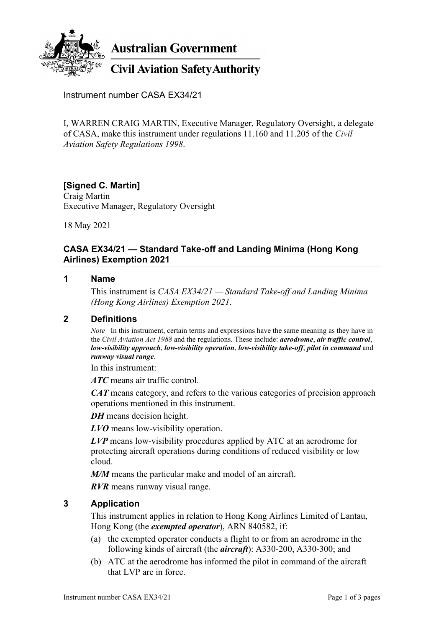

**Australian Government** 

# **Civil Aviation Safety Authority**

Instrument number CASA EX34/21

I, WARREN CRAIG MARTIN, Executive Manager, Regulatory Oversight, a delegate of CASA, make this instrument under regulations 11.160 and 11.205 of the *Civil Aviation Safety Regulations 1998*.

# **[Signed C. Martin]**

Craig Martin Executive Manager, Regulatory Oversight

18 May 2021

## **CASA EX34/21 — Standard Take-off and Landing Minima (Hong Kong Airlines) Exemption 2021**

#### **1 Name**

This instrument is *CASA EX34/21 — Standard Take-off and Landing Minima (Hong Kong Airlines) Exemption 2021*.

#### **2 Definitions**

*Note* In this instrument, certain terms and expressions have the same meaning as they have in the *Civil Aviation Act 1988* and the regulations. These include: *aerodrome*, *air traffic control*, *low-visibility approach*, *low-visibility operation*, *low-visibility take-off*, *pilot in command* and *runway visual range*.

In this instrument:

*ATC* means air traffic control.

*CAT* means category, and refers to the various categories of precision approach operations mentioned in this instrument.

*DH* means decision height.

*LVO* means low-visibility operation.

*LVP* means low-visibility procedures applied by ATC at an aerodrome for protecting aircraft operations during conditions of reduced visibility or low cloud.

*M/M* means the particular make and model of an aircraft.

*RVR* means runway visual range.

### **3 Application**

This instrument applies in relation to Hong Kong Airlines Limited of Lantau, Hong Kong (the *exempted operator*), ARN 840582, if:

- (a) the exempted operator conducts a flight to or from an aerodrome in the following kinds of aircraft (the *aircraft*): A330-200, A330-300; and
- (b) ATC at the aerodrome has informed the pilot in command of the aircraft that LVP are in force.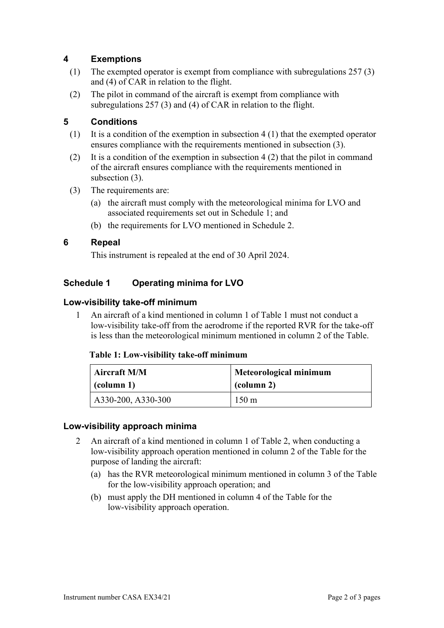## **4 Exemptions**

- (1) The exempted operator is exempt from compliance with subregulations 257 (3) and (4) of CAR in relation to the flight.
- (2) The pilot in command of the aircraft is exempt from compliance with subregulations 257 (3) and (4) of CAR in relation to the flight.

## **5 Conditions**

- (1) It is a condition of the exemption in subsection 4 (1) that the exempted operator ensures compliance with the requirements mentioned in subsection (3).
- (2) It is a condition of the exemption in subsection 4 (2) that the pilot in command of the aircraft ensures compliance with the requirements mentioned in subsection (3).
- (3) The requirements are:
	- (a) the aircraft must comply with the meteorological minima for LVO and associated requirements set out in Schedule 1; and
	- (b) the requirements for LVO mentioned in Schedule 2.

#### **6 Repeal**

This instrument is repealed at the end of 30 April 2024.

## **Schedule 1 Operating minima for LVO**

#### **Low-visibility take-off minimum**

1 An aircraft of a kind mentioned in column 1 of Table 1 must not conduct a low-visibility take-off from the aerodrome if the reported RVR for the take-off is less than the meteorological minimum mentioned in column 2 of the Table.

#### **Table 1: Low-visibility take-off minimum**

| <b>Aircraft M/M</b>        | Meteorological minimum |  |
|----------------------------|------------------------|--|
| $\vert$ (column 1)         | (column 2)             |  |
| $\vert$ A330-200, A330-300 | $150 \text{ m}$        |  |

#### **Low-visibility approach minima**

- 2 An aircraft of a kind mentioned in column 1 of Table 2, when conducting a low-visibility approach operation mentioned in column 2 of the Table for the purpose of landing the aircraft:
	- (a) has the RVR meteorological minimum mentioned in column 3 of the Table for the low-visibility approach operation; and
	- (b) must apply the DH mentioned in column 4 of the Table for the low-visibility approach operation.